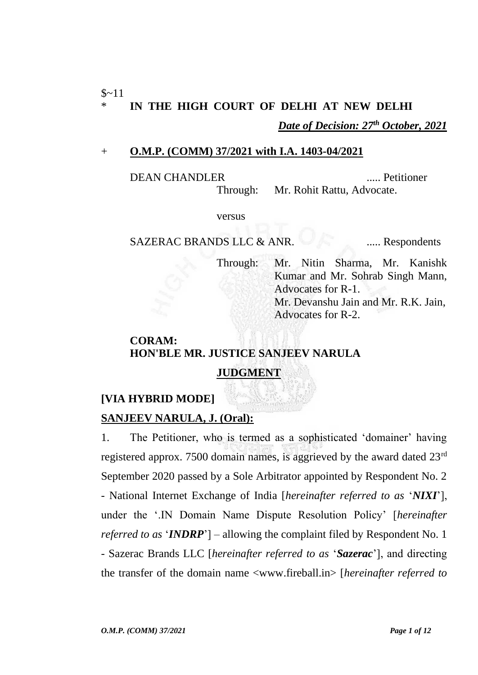#### + **O.M.P. (COMM) 37/2021 with I.A. 1403-04/2021**

DEAN CHANDLER ..... Petitioner Through: Mr. Rohit Rattu, Advocate.

versus

SAZERAC BRANDS LLC & ANR. ...... Respondents

Through: Mr. Nitin Sharma, Mr. Kanishk Kumar and Mr. Sohrab Singh Mann, Advocates for R-1. Mr. Devanshu Jain and Mr. R.K. Jain, Advocates for R-2.

# **CORAM: HON'BLE MR. JUSTICE SANJEEV NARULA**

## **JUDGMENT**

## **[VIA HYBRID MODE]**

## **SANJEEV NARULA, J. (Oral):**

1. The Petitioner, who is termed as a sophisticated 'domainer' having registered approx. 7500 domain names, is aggrieved by the award dated 23rd September 2020 passed by a Sole Arbitrator appointed by Respondent No. 2 - National Internet Exchange of India [*hereinafter referred to as* '*NIXI*'], under the '.IN Domain Name Dispute Resolution Policy' [*hereinafter referred to as* '*INDRP*'] – allowing the complaint filed by Respondent No. 1 - Sazerac Brands LLC [*hereinafter referred to as* '*Sazerac*'], and directing the transfer of the domain name <www.fireball.in> [*hereinafter referred to*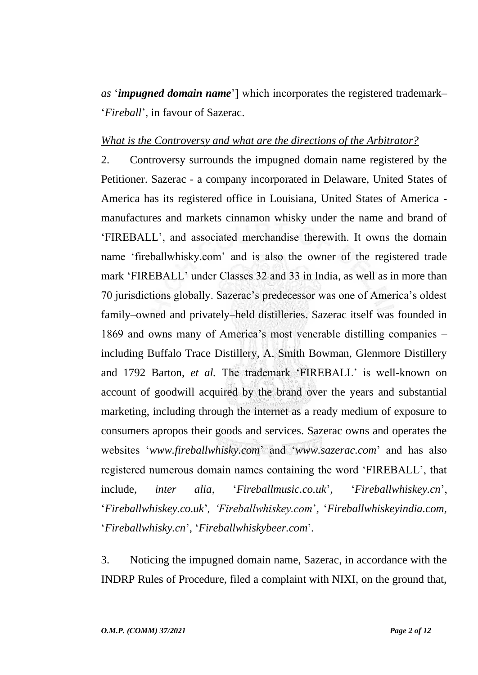*as* '*impugned domain name*'] which incorporates the registered trademark– '*Fireball*', in favour of Sazerac.

#### *What is the Controversy and what are the directions of the Arbitrator?*

2. Controversy surrounds the impugned domain name registered by the Petitioner. Sazerac - a company incorporated in Delaware, United States of America has its registered office in Louisiana, United States of America manufactures and markets cinnamon whisky under the name and brand of 'FIREBALL', and associated merchandise therewith. It owns the domain name 'fireballwhisky.com' and is also the owner of the registered trade mark 'FIREBALL' under Classes 32 and 33 in India, as well as in more than 70 jurisdictions globally. Sazerac's predecessor was one of America's oldest family–owned and privately–held distilleries. Sazerac itself was founded in 1869 and owns many of America's most venerable distilling companies – including Buffalo Trace Distillery, A. Smith Bowman, Glenmore Distillery and 1792 Barton, *et al.* The trademark 'FIREBALL' is well-known on account of goodwill acquired by the brand over the years and substantial marketing, including through the internet as a ready medium of exposure to consumers apropos their goods and services. Sazerac owns and operates the websites '*www.fireballwhisky.com*' and '*www.sazerac.com*' and has also registered numerous domain names containing the word 'FIREBALL', that include, *inter alia*, '*Fireballmusic.co.uk*'*,* '*Fireballwhiskey.cn*', '*Fireballwhiskey.co.uk*'*, 'Fireballwhiskey.com*'*,* '*Fireballwhiskeyindia.com,*  '*Fireballwhisky.cn*'*,* '*Fireballwhiskybeer.com*'*.*

3. Noticing the impugned domain name, Sazerac, in accordance with the INDRP Rules of Procedure, filed a complaint with NIXI, on the ground that,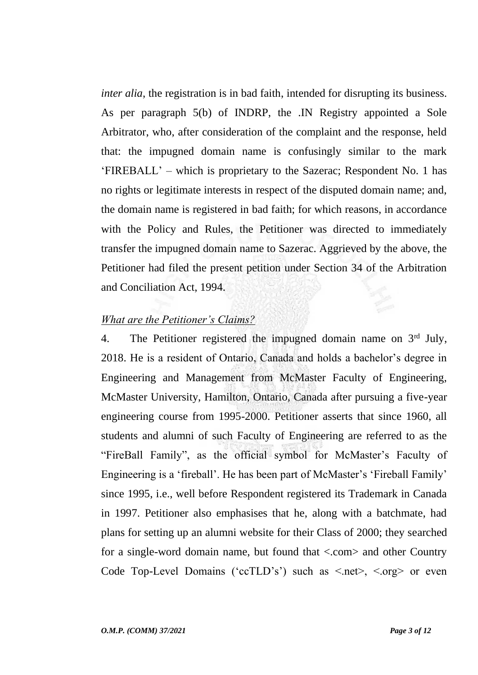*inter alia*, the registration is in bad faith, intended for disrupting its business. As per paragraph 5(b) of INDRP, the .IN Registry appointed a Sole Arbitrator, who, after consideration of the complaint and the response, held that: the impugned domain name is confusingly similar to the mark 'FIREBALL' – which is proprietary to the Sazerac; Respondent No. 1 has no rights or legitimate interests in respect of the disputed domain name; and, the domain name is registered in bad faith; for which reasons, in accordance with the Policy and Rules, the Petitioner was directed to immediately transfer the impugned domain name to Sazerac. Aggrieved by the above, the Petitioner had filed the present petition under Section 34 of the Arbitration and Conciliation Act, 1994.

#### *What are the Petitioner's Claims?*

4. The Petitioner registered the impugned domain name on  $3<sup>rd</sup>$  July, 2018. He is a resident of Ontario, Canada and holds a bachelor's degree in Engineering and Management from McMaster Faculty of Engineering, McMaster University, Hamilton, Ontario, Canada after pursuing a five-year engineering course from 1995-2000. Petitioner asserts that since 1960, all students and alumni of such Faculty of Engineering are referred to as the "FireBall Family", as the official symbol for McMaster's Faculty of Engineering is a 'fireball'. He has been part of McMaster's 'Fireball Family' since 1995, i.e., well before Respondent registered its Trademark in Canada in 1997. Petitioner also emphasises that he, along with a batchmate, had plans for setting up an alumni website for their Class of 2000; they searched for a single-word domain name, but found that <.com> and other Country Code Top-Level Domains ('ccTLD's') such as  $\langle$ -net $\rangle$ ,  $\langle$ -org $\rangle$  or even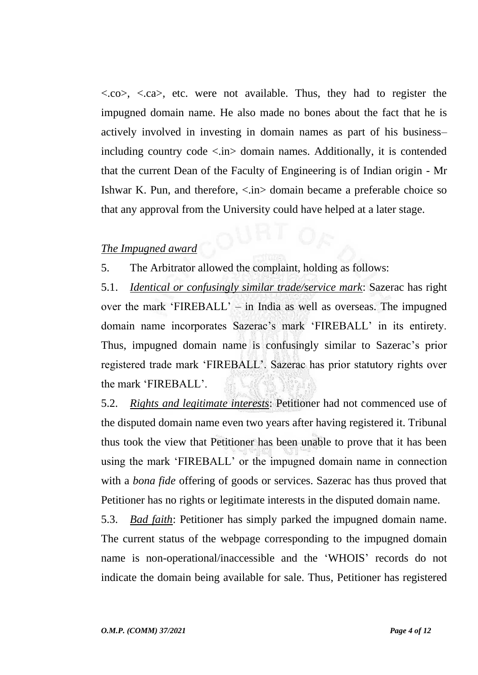$\langle \cos \rangle$ ,  $\langle \cos \rangle$ , etc. were not available. Thus, they had to register the impugned domain name. He also made no bones about the fact that he is actively involved in investing in domain names as part of his business– including country code  $\langle \sin \rangle$  domain names. Additionally, it is contended that the current Dean of the Faculty of Engineering is of Indian origin - Mr Ishwar K. Pun, and therefore, <.in> domain became a preferable choice so that any approval from the University could have helped at a later stage.

#### *The Impugned award*

5. The Arbitrator allowed the complaint, holding as follows:

5.1. *Identical or confusingly similar trade/service mark*: Sazerac has right over the mark 'FIREBALL' – in India as well as overseas. The impugned domain name incorporates Sazerac's mark 'FIREBALL' in its entirety. Thus, impugned domain name is confusingly similar to Sazerac's prior registered trade mark 'FIREBALL'. Sazerac has prior statutory rights over the mark 'FIREBALL'.

5.2. *Rights and legitimate interests*: Petitioner had not commenced use of the disputed domain name even two years after having registered it. Tribunal thus took the view that Petitioner has been unable to prove that it has been using the mark 'FIREBALL' or the impugned domain name in connection with a *bona fide* offering of goods or services. Sazerac has thus proved that Petitioner has no rights or legitimate interests in the disputed domain name.

5.3. *Bad faith*: Petitioner has simply parked the impugned domain name. The current status of the webpage corresponding to the impugned domain name is non-operational/inaccessible and the 'WHOIS' records do not indicate the domain being available for sale. Thus, Petitioner has registered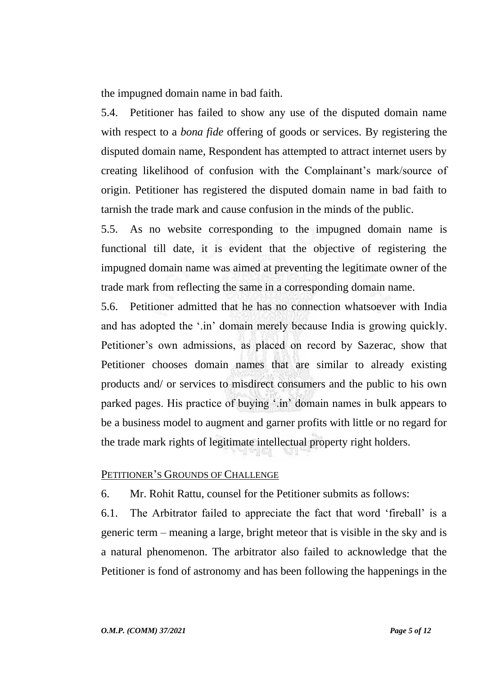the impugned domain name in bad faith.

5.4. Petitioner has failed to show any use of the disputed domain name with respect to a *bona fide* offering of goods or services. By registering the disputed domain name, Respondent has attempted to attract internet users by creating likelihood of confusion with the Complainant's mark/source of origin. Petitioner has registered the disputed domain name in bad faith to tarnish the trade mark and cause confusion in the minds of the public.

5.5. As no website corresponding to the impugned domain name is functional till date, it is evident that the objective of registering the impugned domain name was aimed at preventing the legitimate owner of the trade mark from reflecting the same in a corresponding domain name.

5.6. Petitioner admitted that he has no connection whatsoever with India and has adopted the '.in' domain merely because India is growing quickly. Petitioner's own admissions, as placed on record by Sazerac, show that Petitioner chooses domain names that are similar to already existing products and/ or services to misdirect consumers and the public to his own parked pages. His practice of buying '.in' domain names in bulk appears to be a business model to augment and garner profits with little or no regard for the trade mark rights of legitimate intellectual property right holders.

# PETITIONER'S GROUNDS OF CHALLENGE

6. Mr. Rohit Rattu, counsel for the Petitioner submits as follows:

6.1. The Arbitrator failed to appreciate the fact that word 'fireball' is a generic term – meaning a large, bright meteor that is visible in the sky and is a natural phenomenon. The arbitrator also failed to acknowledge that the Petitioner is fond of astronomy and has been following the happenings in the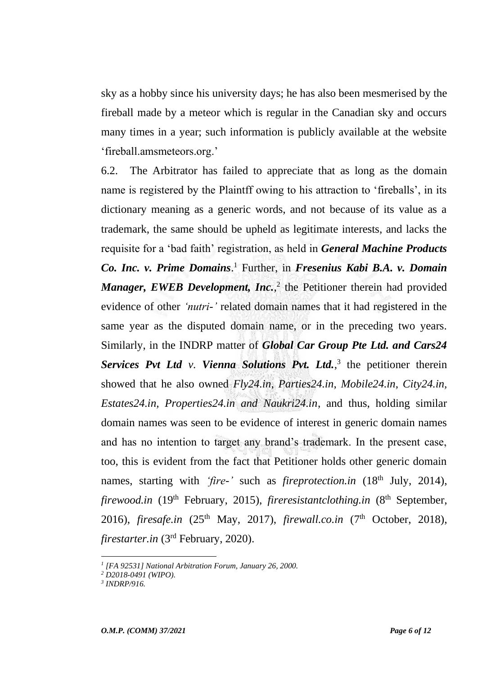sky as a hobby since his university days; he has also been mesmerised by the fireball made by a meteor which is regular in the Canadian sky and occurs many times in a year; such information is publicly available at the website 'fireball.amsmeteors.org.'

6.2. The Arbitrator has failed to appreciate that as long as the domain name is registered by the Plaintff owing to his attraction to 'fireballs', in its dictionary meaning as a generic words, and not because of its value as a trademark, the same should be upheld as legitimate interests, and lacks the requisite for a 'bad faith' registration, as held in *General Machine Products Co. Inc. v. Prime Domains*. <sup>1</sup> Further, in *Fresenius Kabi B.A. v. Domain*  Manager, EWEB Development, Inc.,<sup>2</sup> the Petitioner therein had provided evidence of other *'nutri-'* related domain names that it had registered in the same year as the disputed domain name, or in the preceding two years. Similarly, in the INDRP matter of *Global Car Group Pte Ltd. and Cars24*  Services Pvt Ltd v. Vienna Solutions Pvt. Ltd.,<sup>3</sup> the petitioner therein showed that he also owned *Fly24.in*, *Parties24.in*, *Mobile24.in*, *City24.in, Estates24.in, Properties24.in and Naukri24.in*, and thus, holding similar domain names was seen to be evidence of interest in generic domain names and has no intention to target any brand's trademark. In the present case, too, this is evident from the fact that Petitioner holds other generic domain names, starting with *'fire-'* such as *fireprotection.in* (18th July, 2014), *firewood.in* (19<sup>th</sup> February, 2015), *fireresistantclothing.in* (8<sup>th</sup> September, 2016), *firesafe.in* (25th May, 2017), *firewall.co.in* (7th October, 2018), *firestarter.in* (3<sup>rd</sup> February, 2020).

*<sup>1</sup> [FA 92531] National Arbitration Forum, January 26, 2000.*

*<sup>2</sup> D2018-0491 (WIPO).*

*<sup>3</sup> INDRP/916.*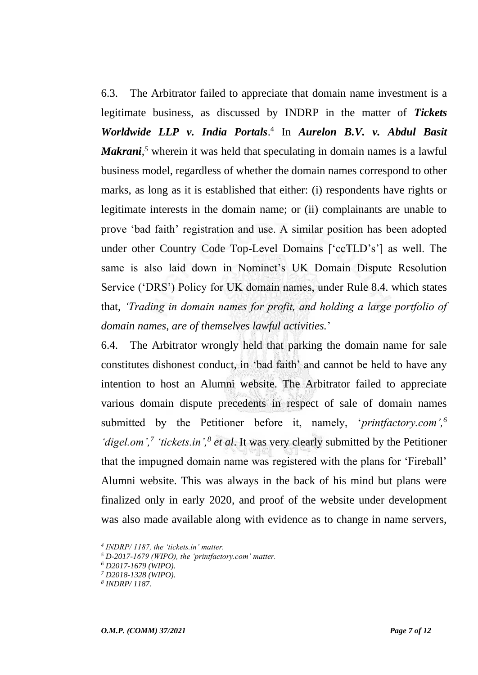6.3. The Arbitrator failed to appreciate that domain name investment is a legitimate business, as discussed by INDRP in the matter of *Tickets Worldwide LLP v. India Portals*. 4 In *Aurelon B.V. v. Abdul Basit Makrani*,<sup>5</sup> wherein it was held that speculating in domain names is a lawful business model, regardless of whether the domain names correspond to other marks, as long as it is established that either: (i) respondents have rights or legitimate interests in the domain name; or (ii) complainants are unable to prove 'bad faith' registration and use. A similar position has been adopted under other Country Code Top-Level Domains ['ccTLD's'] as well. The same is also laid down in Nominet's UK Domain Dispute Resolution Service ('DRS') Policy for UK domain names, under Rule 8.4. which states that, *'Trading in domain names for profit, and holding a large portfolio of domain names, are of themselves lawful activities.*'

6.4. The Arbitrator wrongly held that parking the domain name for sale constitutes dishonest conduct, in 'bad faith' and cannot be held to have any intention to host an Alumni website. The Arbitrator failed to appreciate various domain dispute precedents in respect of sale of domain names submitted by the Petitioner before it, namely, '*printfactory.com',<sup>6</sup> 'digel.om',<sup>7</sup> 'tickets.in',<sup>8</sup> et al*. It was very clearly submitted by the Petitioner that the impugned domain name was registered with the plans for 'Fireball' Alumni website. This was always in the back of his mind but plans were finalized only in early 2020, and proof of the website under development was also made available along with evidence as to change in name servers,

*<sup>4</sup> INDRP/ 1187, the 'tickets.in' matter.*

*<sup>5</sup> D-2017-1679 (WIPO), the 'printfactory.com' matter.*

*<sup>6</sup> D2017-1679 (WIPO).*

*<sup>7</sup> D2018-1328 (WIPO).*

*<sup>8</sup> INDRP/ 1187.*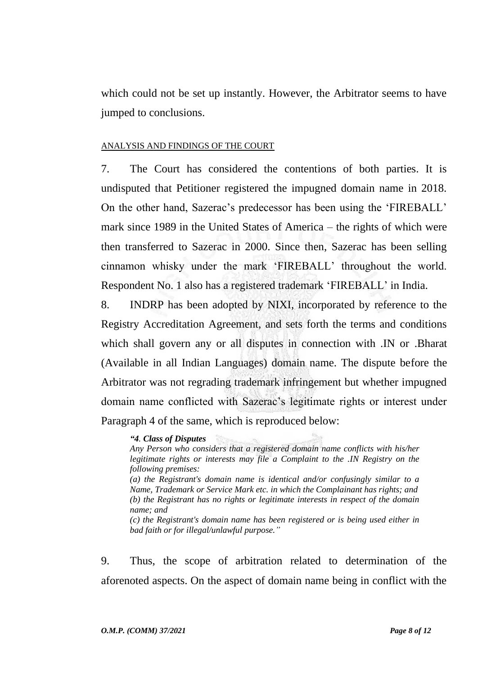which could not be set up instantly. However, the Arbitrator seems to have jumped to conclusions.

#### ANALYSIS AND FINDINGS OF THE COURT

7. The Court has considered the contentions of both parties. It is undisputed that Petitioner registered the impugned domain name in 2018. On the other hand, Sazerac's predecessor has been using the 'FIREBALL' mark since 1989 in the United States of America – the rights of which were then transferred to Sazerac in 2000. Since then, Sazerac has been selling cinnamon whisky under the mark 'FIREBALL' throughout the world. Respondent No. 1 also has a registered trademark 'FIREBALL' in India.

8. INDRP has been adopted by NIXI, incorporated by reference to the Registry Accreditation Agreement, and sets forth the terms and conditions which shall govern any or all disputes in connection with .IN or .Bharat (Available in all Indian Languages) domain name. The dispute before the Arbitrator was not regrading trademark infringement but whether impugned domain name conflicted with Sazerac's legitimate rights or interest under Paragraph 4 of the same, which is reproduced below:

#### *"4. Class of Disputes*

*Any Person who considers that a registered domain name conflicts with his/her legitimate rights or interests may file a Complaint to the .IN Registry on the following premises:*

*(a) the Registrant's domain name is identical and/or confusingly similar to a Name, Trademark or Service Mark etc. in which the Complainant has rights; and (b) the Registrant has no rights or legitimate interests in respect of the domain name; and*

*(c) the Registrant's domain name has been registered or is being used either in bad faith or for illegal/unlawful purpose."*

9. Thus, the scope of arbitration related to determination of the aforenoted aspects. On the aspect of domain name being in conflict with the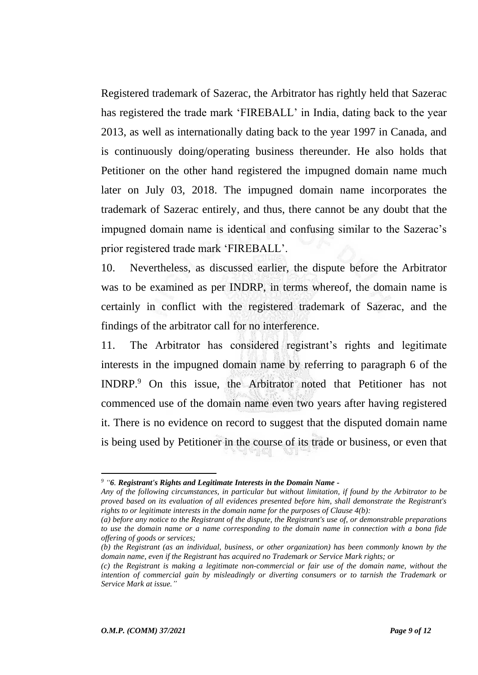Registered trademark of Sazerac, the Arbitrator has rightly held that Sazerac has registered the trade mark 'FIREBALL' in India, dating back to the year 2013, as well as internationally dating back to the year 1997 in Canada, and is continuously doing/operating business thereunder. He also holds that Petitioner on the other hand registered the impugned domain name much later on July 03, 2018. The impugned domain name incorporates the trademark of Sazerac entirely, and thus, there cannot be any doubt that the impugned domain name is identical and confusing similar to the Sazerac's prior registered trade mark 'FIREBALL'.

10. Nevertheless, as discussed earlier, the dispute before the Arbitrator was to be examined as per INDRP, in terms whereof, the domain name is certainly in conflict with the registered trademark of Sazerac, and the findings of the arbitrator call for no interference.

11. The Arbitrator has considered registrant's rights and legitimate interests in the impugned domain name by referring to paragraph 6 of the INDRP.<sup>9</sup> On this issue, the Arbitrator noted that Petitioner has not commenced use of the domain name even two years after having registered it. There is no evidence on record to suggest that the disputed domain name is being used by Petitioner in the course of its trade or business, or even that

*<sup>9</sup> "6. Registrant's Rights and Legitimate Interests in the Domain Name -*

*Any of the following circumstances, in particular but without limitation, if found by the Arbitrator to be proved based on its evaluation of all evidences presented before him, shall demonstrate the Registrant's rights to or legitimate interests in the domain name for the purposes of Clause 4(b):*

*<sup>(</sup>a) before any notice to the Registrant of the dispute, the Registrant's use of, or demonstrable preparations to use the domain name or a name corresponding to the domain name in connection with a bona fide offering of goods or services;*

*<sup>(</sup>b) the Registrant (as an individual, business, or other organization) has been commonly known by the domain name, even if the Registrant has acquired no Trademark or Service Mark rights; or*

*<sup>(</sup>c) the Registrant is making a legitimate non-commercial or fair use of the domain name, without the intention of commercial gain by misleadingly or diverting consumers or to tarnish the Trademark or Service Mark at issue."*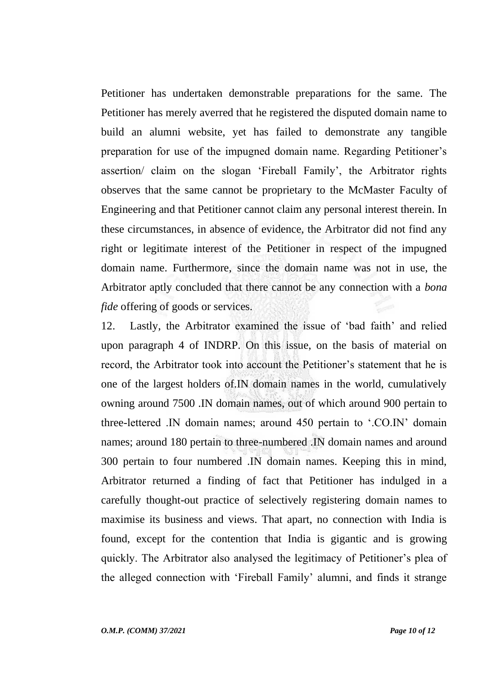Petitioner has undertaken demonstrable preparations for the same. The Petitioner has merely averred that he registered the disputed domain name to build an alumni website, yet has failed to demonstrate any tangible preparation for use of the impugned domain name. Regarding Petitioner's assertion/ claim on the slogan 'Fireball Family', the Arbitrator rights observes that the same cannot be proprietary to the McMaster Faculty of Engineering and that Petitioner cannot claim any personal interest therein. In these circumstances, in absence of evidence, the Arbitrator did not find any right or legitimate interest of the Petitioner in respect of the impugned domain name. Furthermore, since the domain name was not in use, the Arbitrator aptly concluded that there cannot be any connection with a *bona fide* offering of goods or services.

12. Lastly, the Arbitrator examined the issue of 'bad faith' and relied upon paragraph 4 of INDRP. On this issue, on the basis of material on record, the Arbitrator took into account the Petitioner's statement that he is one of the largest holders of.IN domain names in the world, cumulatively owning around 7500 .IN domain names, out of which around 900 pertain to three-lettered .IN domain names; around 450 pertain to '.CO.IN' domain names; around 180 pertain to three-numbered .IN domain names and around 300 pertain to four numbered .IN domain names. Keeping this in mind, Arbitrator returned a finding of fact that Petitioner has indulged in a carefully thought-out practice of selectively registering domain names to maximise its business and views. That apart, no connection with India is found, except for the contention that India is gigantic and is growing quickly. The Arbitrator also analysed the legitimacy of Petitioner's plea of the alleged connection with 'Fireball Family' alumni, and finds it strange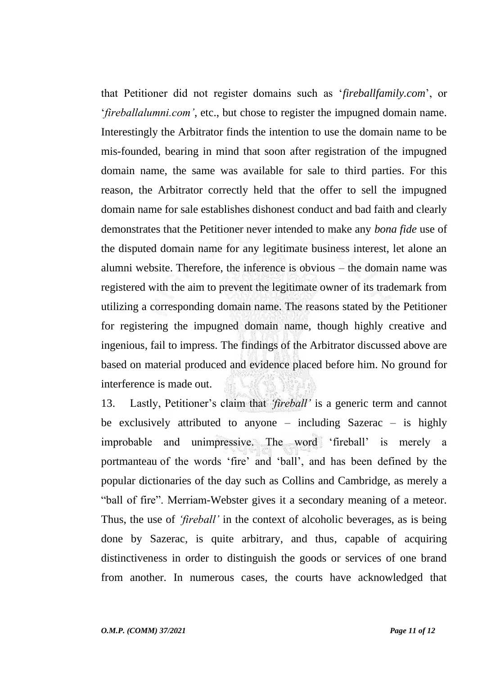that Petitioner did not register domains such as '*fireballfamily.com*', or '*fireballalumni.com'*, etc., but chose to register the impugned domain name. Interestingly the Arbitrator finds the intention to use the domain name to be mis-founded, bearing in mind that soon after registration of the impugned domain name, the same was available for sale to third parties. For this reason, the Arbitrator correctly held that the offer to sell the impugned domain name for sale establishes dishonest conduct and bad faith and clearly demonstrates that the Petitioner never intended to make any *bona fide* use of the disputed domain name for any legitimate business interest, let alone an alumni website. Therefore, the inference is obvious – the domain name was registered with the aim to prevent the legitimate owner of its trademark from utilizing a corresponding domain name. The reasons stated by the Petitioner for registering the impugned domain name, though highly creative and ingenious, fail to impress. The findings of the Arbitrator discussed above are based on material produced and evidence placed before him. No ground for interference is made out.

13. Lastly, Petitioner's claim that *'fireball'* is a generic term and cannot be exclusively attributed to anyone – including Sazerac – is highly improbable and unimpressive. The word 'fireball' is merely a portmanteau of the words 'fire' and 'ball', and has been defined by the popular dictionaries of the day such as Collins and Cambridge, as merely a "ball of fire". Merriam-Webster gives it a secondary meaning of a meteor. Thus, the use of *'fireball'* in the context of alcoholic beverages, as is being done by Sazerac, is quite arbitrary, and thus, capable of acquiring distinctiveness in order to distinguish the goods or services of one brand from another. In numerous cases, the courts have acknowledged that